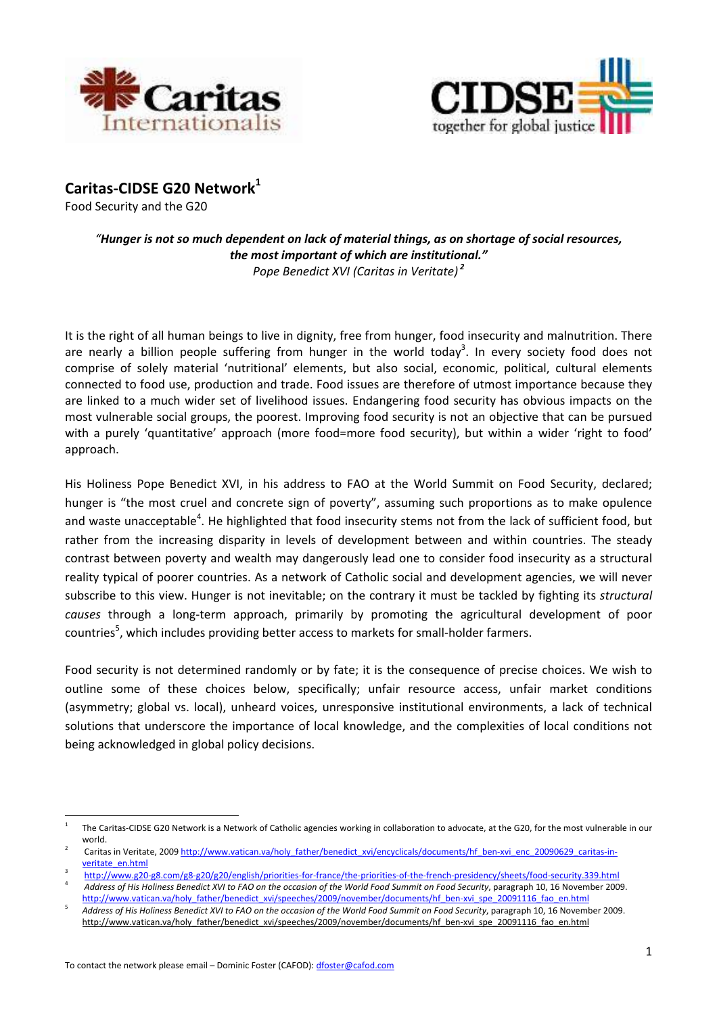



**Caritas‐CIDSE G20 Network<sup>1</sup>**

Food Security and the G20

## "Hunger is not so much dependent on lack of material things, as on shortage of social resources, *the most important of which are institutional." Pope Benedict XVI (Caritas in Veritate) <sup>2</sup>*

It is the right of all human beings to live in dignity, free from hunger, food insecurity and malnutrition. There are nearly a billion people suffering from hunger in the world today<sup>3</sup>. In every society food does not comprise of solely material 'nutritional' elements, but also social, economic, political, cultural elements connected to food use, production and trade. Food issues are therefore of utmost importance because they are linked to a much wider set of livelihood issues. Endangering food security has obvious impacts on the most vulnerable social groups, the poorest. Improving food security is not an objective that can be pursued with a purely 'quantitative' approach (more food=more food security), but within a wider 'right to food' approach.

His Holiness Pope Benedict XVI, in his address to FAO at the World Summit on Food Security, declared; hunger is "the most cruel and concrete sign of poverty", assuming such proportions as to make opulence and waste unacceptable<sup>4</sup>. He highlighted that food insecurity stems not from the lack of sufficient food, but rather from the increasing disparity in levels of development between and within countries. The steady contrast between poverty and wealth may dangerously lead one to consider food insecurity as a structural reality typical of poorer countries. As a network of Catholic social and development agencies, we will never subscribe to this view. Hunger is not inevitable; on the contrary it must be tackled by fighting its *structural causes* through a long‐term approach, primarily by promoting the agricultural development of poor countries<sup>5</sup>, which includes providing better access to markets for small-holder farmers.

Food security is not determined randomly or by fate; it is the consequence of precise choices. We wish to outline some of these choices below, specifically; unfair resource access, unfair market conditions (asymmetry; global vs. local), unheard voices, unresponsive institutional environments, a lack of technical solutions that underscore the importance of local knowledge, and the complexities of local conditions not being acknowledged in global policy decisions.

<sup>1</sup> The Caritas‐CIDSE G20 Network is a Network of Catholic agencies working in collaboration to advocate, at the G20, for the most vulnerable in our world.

<sup>2</sup> Caritas in Veritate, 2009 http://www.vatican.va/holy\_father/benedict\_xvi/encyclicals/documents/hf\_ben-xvi\_enc\_20090629\_caritas-inveritate\_en.html

<sup>3</sup> http://www.g20‐g8.com/g8‐g20/g20/english/priorities‐for‐france/the‐priorities‐of‐the‐french‐presidency/sheets/food‐security.339.html 4 Address of His Holiness Benedict XVI to FAO on the occasion of the World Food Summit on Food Security, paragraph 10, 16 November 2009.

http://www.vatican.va/holy\_father/benedict\_xvi/speeches/2009/november/documents/hf\_ben-xvi\_spe\_20091116\_fao\_en.html 5 Address of His Holiness Benedict XVI to FAO on the occasion of the World Food Summit on Food Security, paragraph 10, 16 November 2009. http://www.vatican.va/holy\_father/benedict\_xvi/speeches/2009/november/documents/hf\_ben-xvi\_spe\_20091116\_fao\_en.html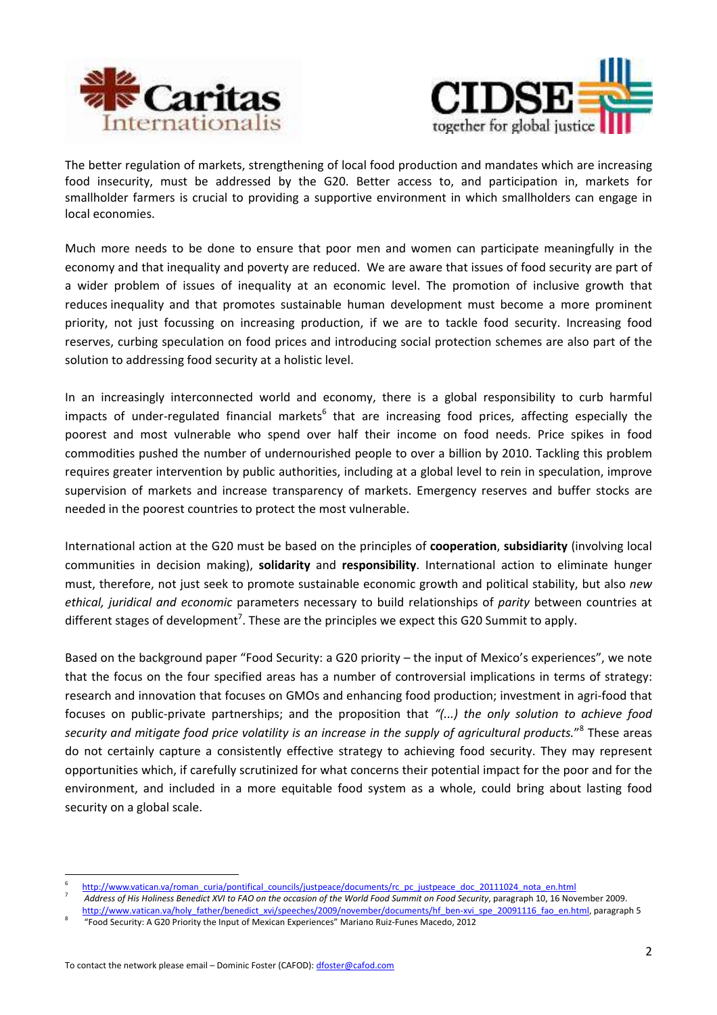



The better regulation of markets, strengthening of local food production and mandates which are increasing food insecurity, must be addressed by the G20. Better access to, and participation in, markets for smallholder farmers is crucial to providing a supportive environment in which smallholders can engage in local economies.

Much more needs to be done to ensure that poor men and women can participate meaningfully in the economy and that inequality and poverty are reduced. We are aware that issues of food security are part of a wider problem of issues of inequality at an economic level. The promotion of inclusive growth that reduces inequality and that promotes sustainable human development must become a more prominent priority, not just focussing on increasing production, if we are to tackle food security. Increasing food reserves, curbing speculation on food prices and introducing social protection schemes are also part of the solution to addressing food security at a holistic level.

In an increasingly interconnected world and economy, there is a global responsibility to curb harmful impacts of under-regulated financial markets<sup>6</sup> that are increasing food prices, affecting especially the poorest and most vulnerable who spend over half their income on food needs. Price spikes in food commodities pushed the number of undernourished people to over a billion by 2010. Tackling this problem requires greater intervention by public authorities, including at a global level to rein in speculation, improve supervision of markets and increase transparency of markets. Emergency reserves and buffer stocks are needed in the poorest countries to protect the most vulnerable.

International action at the G20 must be based on the principles of **cooperation**, **subsidiarity** (involving local communities in decision making), **solidarity** and **responsibility**. International action to eliminate hunger must, therefore, not just seek to promote sustainable economic growth and political stability, but also *new ethical, juridical and economic* parameters necessary to build relationships of *parity* between countries at different stages of development<sup>7</sup>. These are the principles we expect this G20 Summit to apply.

Based on the background paper "Food Security: a G20 priority – the input of Mexico's experiences", we note that the focus on the four specified areas has a number of controversial implications in terms of strategy: research and innovation that focuses on GMOs and enhancing food production; investment in agri-food that focuses on public‐private partnerships; and the proposition that *"(...) the only solution to achieve food security and mitigate food price volatility is an increase in the supply of agricultural products.*" 8 These areas do not certainly capture a consistently effective strategy to achieving food security. They may represent opportunities which, if carefully scrutinized for what concerns their potential impact for the poor and for the environment, and included in a more equitable food system as a whole, could bring about lasting food security on a global scale.

<sup>6</sup> http://www.vatican.va/roman\_curia/pontifical\_councils/justpeace/documents/rc\_pc\_justpeace\_doc\_20111024\_nota\_en.html

<sup>7</sup> Address of His Holiness Benedict XVI to FAO on the occasion of the World Food Summit on Food Security, paragraph 10, 16 November 2009. http://www.vatican.va/holy\_father/benedict\_xvi/speeches/2009/november/documents/hf\_ben-xvi\_spe\_20091116\_fao\_en.html, paragraph 5\_

<sup>8</sup> "Food Security: A G20 Priority the Input of Mexican Experiences" Mariano Ruiz‐Funes Macedo, 2012